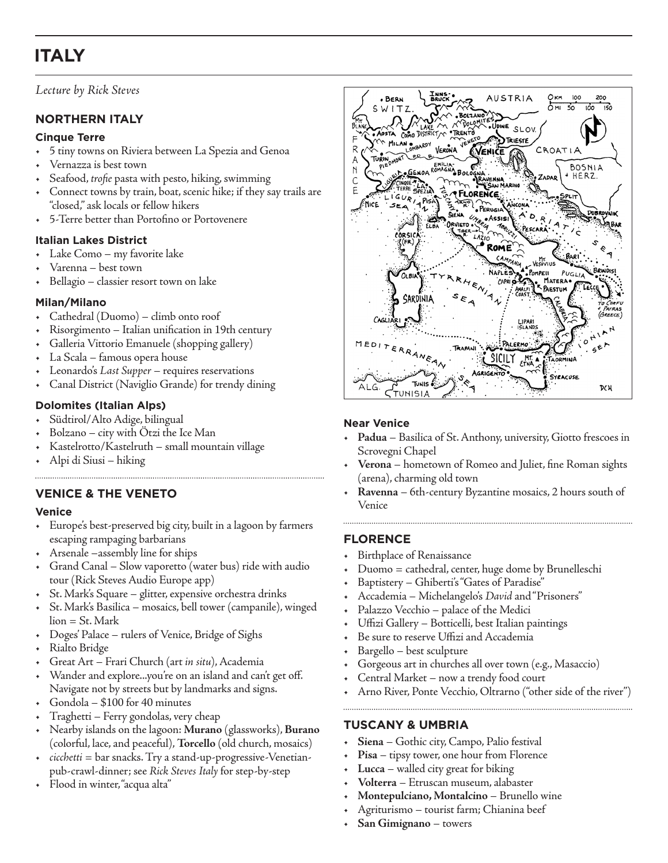# **ITALY**

# *Lecture by Rick Steves*

# **NORTHERN ITALY**

#### **Cinque Terre**

- 5 tiny towns on Riviera between La Spezia and Genoa
- Vernazza is best town
- Seafood, *trofie* pasta with pesto, hiking, swimming
- Connect towns by train, boat, scenic hike; if they say trails are "closed," ask locals or fellow hikers
- 5-Terre better than Portofino or Portovenere

## **Italian Lakes District**

- Lake Como my favorite lake
- Varenna best town
- Bellagio classier resort town on lake

## **Milan/Milano**

- Cathedral (Duomo) climb onto roof
- Risorgimento Italian unification in 19th century
- Galleria Vittorio Emanuele (shopping gallery)
- La Scala famous opera house
- Leonardo's *Last Supper* requires reservations
- Canal District (Naviglio Grande) for trendy dining

## **Dolomites (Italian Alps)**

- Südtirol/Alto Adige, bilingual
- Bolzano city with Ötzi the Ice Man
- Kastelrotto/Kastelruth small mountain village
- Alpi di Siusi hiking

# **VENICE & THE VENETO**

## **Venice**

- Europe's best-preserved big city, built in a lagoon by farmers escaping rampaging barbarians
- Arsenale –assembly line for ships
- Grand Canal Slow vaporetto (water bus) ride with audio tour (Rick Steves Audio Europe app)
- St. Mark's Square glitter, expensive orchestra drinks
- St. Mark's Basilica mosaics, bell tower (campanile), winged lion = St. Mark
- Doges' Palace rulers of Venice, Bridge of Sighs
- Rialto Bridge
- Great Art Frari Church (art *in situ*), Academia
- Wander and explore...you're on an island and can't get off. Navigate not by streets but by landmarks and signs.
- Gondola \$100 for 40 minutes
- Traghetti Ferry gondolas, very cheap
- Nearby islands on the lagoon: **Murano** (glassworks), **Burano** (colorful, lace, and peaceful), **Torcello** (old church, mosaics)
- *cicchetti* = bar snacks. Try a stand-up-progressive-Venetianpub-crawl-dinner; see *Rick Steves Italy* for step-by-step
- Flood in winter, "acqua alta"



## **Near Venice**

- **Padua** Basilica of St. Anthony, university, Giotto frescoes in Scrovegni Chapel
- **Verona** hometown of Romeo and Juliet, fine Roman sights (arena), charming old town
- **Ravenna** 6th-century Byzantine mosaics, 2 hours south of Venice

# **FLORENCE**

- Birthplace of Renaissance
- Duomo = cathedral, center, huge dome by Brunelleschi
- Baptistery Ghiberti's "Gates of Paradise"
- Accademia Michelangelo's *David* and "Prisoners"
- Palazzo Vecchio palace of the Medici
- Uffizi Gallery Botticelli, best Italian paintings
- Be sure to reserve Uffizi and Accademia
- Bargello best sculpture
- Gorgeous art in churches all over town (e.g., Masaccio)
- Central Market now a trendy food court
- Arno River, Ponte Vecchio, Oltrarno ("other side of the river")

# **TUSCANY & UMBRIA**

- **Siena** Gothic city, Campo, Palio festival
- Pisa tipsy tower, one hour from Florence
- **Lucca** walled city great for biking
- **Volterra** Etruscan museum, alabaster
- **Montepulciano, Montalcino** Brunello wine
- Agriturismo tourist farm; Chianina beef
- **San Gimignano** towers